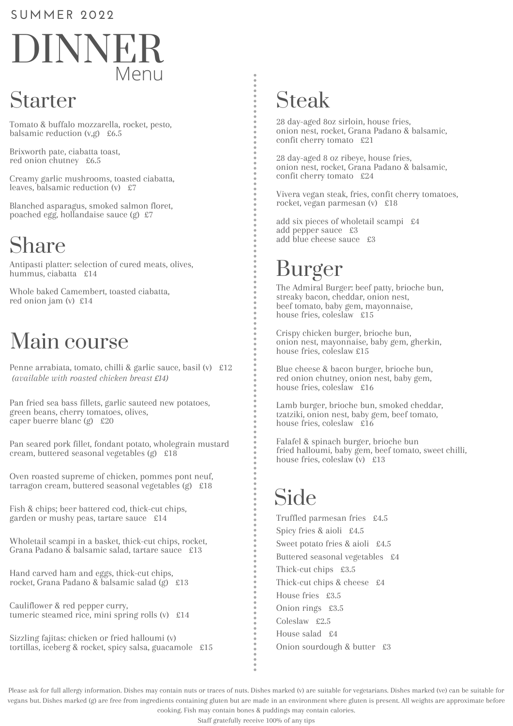#### **SUMMER 202 2**

# DINNER Menu

# Starter

Tomato & buffalo mozzarella, rocket, pesto, balsamic reduction (v,g) £6.5

Brixworth pate, ciabatta toast, red onion chutney £6.5

Creamy garlic mushrooms, toasted ciabatta, leaves, balsamic reduction  $(v)$  £7

Blanched asparagus, smoked salmon floret, poached egg, hollandaise sauce (g) £7

# Share

Antipasti platter: selection of cured meats, olives, hummus, ciabatta £14

Whole baked Camembert, toasted ciabatta, red onion jam (v) £14

# Main course

Penne arrabiata, tomato, chilli & garlic sauce, basil (v) £12 *(available with roasted chicken breast £14)*

Pan fried sea bass fillets, garlic sauteed new potatoes, green beans, cherry tomatoes, olives, caper buerre blanc (g) £20

Pan seared pork fillet, fondant potato, wholegrain mustard cream, buttered seasonal vegetables (g) £18

Oven roasted supreme of chicken, pommes pont neuf, tarragon cream, buttered seasonal vegetables (g) £18

Fish & chips; beer battered cod, thick-cut chips, garden or mushy peas, tartare sauce £14

Wholetail scampi in a basket, thick-cut chips, rocket, Grana Padano & balsamic salad, tartare sauce £13

Hand carved ham and eggs, thick-cut chips, rocket, Grana Padano & balsamic salad (g) £13

Cauliflower & red pepper curry, tumeric steamed rice, mini spring rolls (v) £14

Sizzling fajitas: chicken or fried halloumi (v) tortillas, iceberg & rocket, spicy salsa, guacamole £15

# Steak

28 day-aged 8oz sirloin, house fries, onion nest, rocket, Grana Padano & balsamic, confit cherry tomato £21

28 day-aged 8 oz ribeye, house fries, onion nest, rocket, Grana Padano & balsamic, confit cherry tomato £24

Vivera vegan steak, fries, confit cherry tomatoes, rocket, vegan parmesan (v) £18

add six pieces of wholetail scampi £4 add pepper sauce £3 add blue cheese sauce £3

# Burger

The Admiral Burger: beef patty, brioche bun, streaky bacon, cheddar, onion nest, beef tomato, baby gem, mayonnaise, house fries, coleslaw £15

Crispy chicken burger, brioche bun, onion nest, mayonnaise, baby gem, gherkin, house fries, coleslaw £15

Blue cheese & bacon burger, brioche bun, red onion chutney, onion nest, baby gem, house fries, coleslaw £16

Lamb burger, brioche bun, smoked cheddar, tzatziki, onion nest, baby gem, beef tomato, house fries, coleslaw £16

Falafel & spinach burger, brioche bun fried halloumi, baby gem, beef tomato, sweet chilli, house fries, coleslaw  $\check{v}$  £13

### Side

Truffled parmesan fries £4.5 Spicy fries & aioli £4.5 Sweet potato fries & aioli £4.5 Buttered seasonal vegetables £4 Thick-cut chips £3.5 Thick-cut chips & cheese £4 House fries £3.5 Onion rings £3.5 Coleslaw £2.5 House salad £4 Onion sourdough & butter £3

Please ask for full allergy information. Dishes may contain nuts or traces of nuts. Dishes marked (v) are suitable for vegetarians. Dishes marked (ve) can be suitable for vegans but. Dishes marked (g) are free from ingredients containing gluten but are made in an environment where gluten is present. All weights are approximate before cooking. Fish may contain bones & puddings may contain calories.